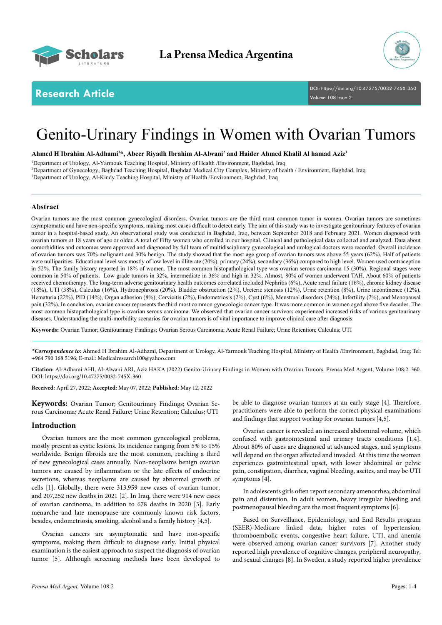



**Research Article** DOI: [https://doi.org/10.47275/0032-745X-3](https://doi.org/10.47275/0032-745X-360)60 Volume 108 Issue 2

# Genito-Urinary Findings in Women with Ovarian Tumors

**Ahmed H Ibrahim Al-Adhami1 \*, Abeer Riyadh Ibrahim Al-Alwani2 and Haider Ahmed Khalil Al hamad Aziz3**

1 Department of Urology, Al-Yarmouk Teaching Hospital, Ministry of Health /Environment, Baghdad, Iraq 2 Department of Gynecology, Baghdad Teaching Hospital, Baghdad Medical City Complex, Ministry of health / Environment, Baghdad, Iraq 3 Department of Urology, Al-Kindy Teaching Hospital, Ministry of Health /Environment, Baghdad, Iraq

# **Abstract**

Ovarian tumors are the most common gynecological disorders. Ovarian tumors are the third most common tumor in women. Ovarian tumors are sometimes asymptomatic and have non-specific symptoms, making most cases difficult to detect early. The aim of this study was to investigate genitourinary features of ovarian tumor in a hospital-based study. An observational study was conducted in Baghdad, Iraq, between September 2018 and February 2021. Women diagnosed with ovarian tumors at 18 years of age or older. A total of Fifty women who enrolled in our hospital. Clinical and pathological data collected and analyzed. Data about comorbidities and outcomes were approved and diagnosed by full team of multidisciplinary gynecological and urological doctors were recorded. Overall incidence of ovarian tumors was 70% malignant and 30% benign. The study showed that the most age group of ovarian tumors was above 55 years (62%). Half of patients were nulliparities. Educational level was mostly of low level in illiterate (20%), primary (24%), secondary (36%) compared to high level. Women used contraception in 52%. The family history reported in 18% of women. The most common histopathological type was ovarian serous carcinoma 15 (30%). Regional stages were common in 50% of patients. Low grade tumors in 32%, intermediate in 36% and high in 32%. Almost, 80% of women underwent TAH. About 60% of patients received chemotherapy. The long-term adverse genitourinary health outcomes correlated included Nephritis (6%), Acute renal failure (16%), chronic kidney disease (18%), UTI (38%), Calculus (16%), Hydronephrosis (20%), Bladder obstruction (2%), Ureteric stenosis (12%), Urine retention (8%), Urine incontinence (12%), Hematuria (22%), PID (14%), Organ adhesion (8%), Cervicitis (2%), Endometriosis (2%), Cyst (6%), Menstrual disorders (24%), Infertility (2%), and Menopausal pain (32%). In conclusion, ovarian cancer represents the third most common gynecologic cancer type. It was more common in women aged above five decades. The most common histopathological type is ovarian serous carcinoma. We observed that ovarian cancer survivors experienced increased risks of various genitourinary diseases. Understanding the multi-morbidity scenarios for ovarian tumors is of vital importance to improve clinical care after diagnosis.

**Keywords:** Ovarian Tumor; Genitourinary Findings; Ovarian Serous Carcinoma; Acute Renal Failure; Urine Retention; Calculus; UTI

*\*Correspondence to:* Ahmed H Ibrahim Al-Adhami, Department of Urology, Al-Yarmouk Teaching Hospital, Ministry of Health /Environment, Baghdad, Iraq; Tel: +964 790 168 5196; E-mail: Medicalresearch100@yahoo.com

**Citation:** Al-Adhami AHI, Al-Alwani ARI, Aziz HAKA (2022) Genito-Urinary Findings in Women with Ovarian Tumors. Prensa Med Argent, Volume 108:2. 360. DOI: [https://doi.org/10.47275/0032-745X-3](https://doi.org/10.47275/0032-745X-360)60

**Received:** April 27, 2022; **Accepted:** May 07, 2022; **Published:** May 12, 2022

**Keywords:** Ovarian Tumor; Genitourinary Findings; Ovarian Serous Carcinoma; Acute Renal Failure; Urine Retention; Calculus; UTI

# **Introduction**

Ovarian tumors are the most common gynecological problems, mostly present as cystic lesions. Its incidence ranging from 5% to 15% worldwide. Benign fibroids are the most common, reaching a third of new gynecological cases annually. Non-neoplasms benign ovarian tumors are caused by inflammation or the late effects of endocrine secretions, whereas neoplasms are caused by abnormal growth of cells [1]. Globally, there were 313,959 new cases of ovarian tumor, and 207,252 new deaths in 2021 [2]. In Iraq, there were 914 new cases of ovarian carcinoma, in addition to 678 deaths in 2020 [3]. Early menarche and late menopause are commonly known risk factors, besides, endometriosis, smoking, alcohol and a family history [4,5].

Ovarian cancers are asymptomatic and have non-specific symptoms, making them difficult to diagnose early. Initial physical examination is the easiest approach to suspect the diagnosis of ovarian tumor [5]. Although screening methods have been developed to

be able to diagnose ovarian tumors at an early stage [4]. Therefore, practitioners were able to perform the correct physical examinations and findings that support workup for ovarian tumors [4,5].

Ovarian cancer is revealed an increased abdominal volume, which confused with gastrointestinal and urinary tracts conditions [1,4]. About 80% of cases are diagnosed at advanced stages, and symptoms will depend on the organ affected and invaded. At this time the woman experiences gastrointestinal upset, with lower abdominal or pelvic pain, constipation, diarrhea, vaginal bleeding, ascites, and may be UTI symptoms [4].

In adolescents girls often report secondary amenorrhea, abdominal pain and distention. In adult women, heavy irregular bleeding and postmenopausal bleeding are the most frequent symptoms [6].

Based on Surveillance, Epidemiology, and End Results program (SEER)-Medicare linked data, higher rates of hypertension, thromboembolic events, congestive heart failure, UTI, and anemia were observed among ovarian cancer survivors [7]. Another study reported high prevalence of cognitive changes, peripheral neuropathy, and sexual changes [8]. In Sweden, a study reported higher prevalence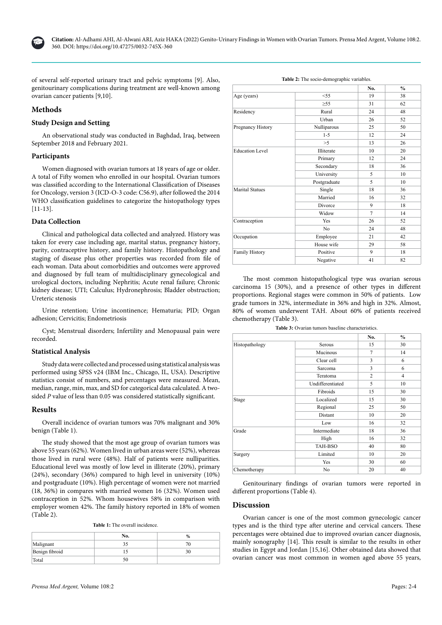

of several self-reported urinary tract and pelvic symptoms [9]. Also, genitourinary complications during treatment are well-known among ovarian cancer patients [9,10].

# **Methods**

# **Study Design and Setting**

An observational study was conducted in Baghdad, Iraq, between September 2018 and February 2021.

## **Participants**

Women diagnosed with ovarian tumors at 18 years of age or older. A total of Fifty women who enrolled in our hospital. Ovarian tumors was classified according to the International Classification of Diseases for Oncology, version 3 (ICD-O-3 code: C56.9), after followed the 2014 WHO classification guidelines to categorize the histopathology types [11-13].

# **Data Collection**

Clinical and pathological data collected and analyzed. History was taken for every case including age, marital status, pregnancy history, parity, contraceptive history, and family history. Histopathology and staging of disease plus other properties was recorded from file of each woman. Data about comorbidities and outcomes were approved and diagnosed by full team of multidisciplinary gynecological and urological doctors, including Nephritis; Acute renal failure; Chronic kidney disease; UTI; Calculus; Hydronephrosis; Bladder obstruction; Ureteric stenosis

Urine retention; Urine incontinence; Hematuria; PID; Organ adhesion; Cervicitis; Endometriosis

Cyst; Menstrual disorders; Infertility and Menopausal pain were recorded.

### **Statistical Analysis**

Study data were collected and processed using statistical analysis was performed using SPSS v24 (IBM Inc., Chicago, IL, USA). Descriptive statistics consist of numbers, and percentages were measured. Mean, median, range, min, max, and SD for categorical data calculated. A twosided *P* value of less than 0.05 was considered statistically significant.

# **Results**

Overall incidence of ovarian tumors was 70% malignant and 30% benign (Table 1).

The study showed that the most age group of ovarian tumors was above 55 years (62%). Women lived in urban areas were (52%), whereas those lived in rural were (48%). Half of patients were nulliparities. Educational level was mostly of low level in illiterate (20%), primary (24%), secondary (36%) compared to high level in university (10%) and postgraduate (10%). High percentage of women were not married (18, 36%) in compares with married women 16 (32%). Women used contraception in 52%. Whom housewives 58% in comparison with employer women 42%. The family history reported in 18% of women (Table 2).

|  |  |  |  |  | <b>Table 1:</b> The overall incidence. |
|--|--|--|--|--|----------------------------------------|
|--|--|--|--|--|----------------------------------------|

|                | No. | %  |
|----------------|-----|----|
| Malignant      |     | 70 |
| Benign fibroid |     | 30 |
| Total          | 50  |    |

| Table 2: The socio-demographic variables. |  |
|-------------------------------------------|--|
|                                           |  |

|                        |                | No.            | $\frac{0}{0}$ |
|------------------------|----------------|----------------|---------------|
| Age (years)            | $<$ 55         | 19             | 38            |
|                        | $\geq 55$      | 31             | 62            |
| Residency              | Rural          | 24             | 48            |
|                        | Urban          | 26             | 52            |
| Pregnancy History      | Nulliparous    | 25             | 50            |
|                        | $1 - 5$        | 12             | 24            |
|                        | >5             | 13             | 26            |
| <b>Education Level</b> | Illiterate     | 10             | 20            |
|                        | Primary        | 12             | 24            |
|                        | Secondary      | 18             | 36            |
|                        | University     | 5              | 10            |
|                        | Postgraduate   | 5              | 10            |
| <b>Marital Statues</b> | Single         | 18             | 36            |
|                        | Married        | 16             | 32            |
|                        | Divorce        | 9              | 18            |
|                        | Widow          | $\overline{7}$ | 14            |
| Contraception          | Yes            | 26             | 52            |
|                        | N <sub>o</sub> | 24             | 48            |
| Occupation             | Employee       | 21             | 42            |
|                        | House wife     | 29             | 58            |
| Family History         | Positive       | 9              | 18            |
|                        | Negative       | 41             | 82            |

The most common histopathological type was ovarian serous carcinoma 15 (30%), and a presence of other types in different proportions. Regional stages were common in 50% of patients. Low grade tumors in 32%, intermediate in 36% and high in 32%. Almost, 80% of women underwent TAH. About 60% of patients received chemotherapy (Table 3).

| Table 3: Ovarian tumors baseline characteristics. |  |
|---------------------------------------------------|--|
|---------------------------------------------------|--|

|                |                  | No.            | $\frac{0}{0}$  |
|----------------|------------------|----------------|----------------|
| Histopathology | Serous           | 15             | 30             |
|                | Mucinous         | $\overline{7}$ | 14             |
|                | Clear cell       | 3              | 6              |
|                | Sarcoma          | 3              | 6              |
|                | Teratoma         | $\overline{c}$ | $\overline{4}$ |
|                | Undifferentiated | 5              | 10             |
|                | Fibroids         | 15             | 30             |
| Stage          | Localized        | 15             | 30             |
|                | Regional         | 25             | 50             |
|                | Distant          | 10             | 20             |
|                | Low              | 16             | 32             |
| Grade          | Intermediate     | 18             | 36             |
|                | High             | 16             | 32             |
|                | <b>TAH-BSO</b>   | 40             | 80             |
| Surgery        | Limited          | 10             | 20             |
|                | Yes              | 30             | 60             |
| Chemotherapy   | No               | 20             | 40             |

Genitourinary findings of ovarian tumors were reported in different proportions (Table 4).

# **Discussion**

Ovarian cancer is one of the most common gynecologic cancer types and is the third type after uterine and cervical cancers. These percentages were obtained due to improved ovarian cancer diagnosis, mainly sonography [14]. This result is similar to the results in other studies in Egypt and Jordan [15,16]. Other obtained data showed that ovarian cancer was most common in women aged above 55 years,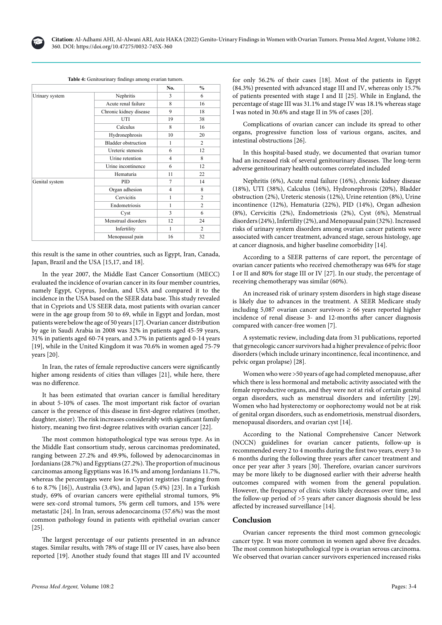

|  | Table 4: Genitourinary findings among ovarian tumors. |
|--|-------------------------------------------------------|
|  |                                                       |

|                |                            | No.          | $\frac{0}{0}$  |
|----------------|----------------------------|--------------|----------------|
| Urinary system | Nephritis                  | 3            | 6              |
|                | Acute renal failure        | 8            | 16             |
|                | Chronic kidney disease     | 9            | 18             |
|                | UTI                        | 19           | 38             |
|                | Calculus                   | 8            | 16             |
|                | Hydronephrosis             | 10           | 20             |
|                | <b>Bladder</b> obstruction | $\mathbf{1}$ | $\overline{2}$ |
|                | Ureteric stenosis          | 6            | 12             |
|                | Urine retention            | 4            | 8              |
|                | Urine incontinence         | 6            | 12             |
|                | Hematuria                  | 11           | 22             |
| Genital system | PID                        | 7            | 14             |
|                | Organ adhesion             | 4            | 8              |
|                | Cervicitis                 | $\mathbf{1}$ | $\overline{c}$ |
|                | Endometriosis              | 1            | $\overline{c}$ |
|                | Cyst                       | 3            | 6              |
|                | Menstrual disorders        | 12           | 24             |
|                | Infertility                | 1            | 2              |
|                | Menopausal pain            | 16           | 32             |

this result is the same in other countries, such as Egypt, Iran, Canada, Japan, Brazil and the USA [15,17, and 18].

In the year 2007, the Middle East Cancer Consortium (MECC) evaluated the incidence of ovarian cancer in its four member countries, namely Egypt, Cyprus, Jordan, and USA and compared it to the incidence in the USA based on the SEER data base. This study revealed that in Cypriots and US SEER data, most patients with ovarian cancer were in the age group from 50 to 69, while in Egypt and Jordan, most patients were below the age of 50 years [17]. Ovarian cancer distribution by age in Saudi Arabia in 2008 was 32% in patients aged 45-59 years, 31% in patients aged 60-74 years, and 3.7% in patients aged 0-14 years [19], while in the United Kingdom it was 70.6% in women aged 75-79 years [20].

In Iran, the rates of female reproductive cancers were significantly higher among residents of cities than villages [21], while here, there was no difference.

It has been estimated that ovarian cancer is familial hereditary in about 5-10% of cases. The most important risk factor of ovarian cancer is the presence of this disease in first-degree relatives (mother, daughter, sister). The risk increases considerably with significant family history, meaning two first-degree relatives with ovarian cancer [22].

The most common histopathological type was serous type. As in the Middle East consortium study, serous carcinomas predominated, ranging between 27.2% and 49.9%, followed by adenocarcinomas in Jordanians (28.7%) and Egyptians (27.2%). The proportion of mucinous carcinomas among Egyptians was 16.1% and among Jordanians 11.7%, whereas the percentages were low in Cypriot registries (ranging from 6 to 8.7% [16]), Australia (3.4%), and Japan (5.4%) [23]. In a Turkish study, 69% of ovarian cancers were epithelial stromal tumors, 9% were sex-cord stromal tumors, 5% germ cell tumors, and 15% were metastatic [24]. In Iran, serous adenocarcinoma (57.6%) was the most common pathology found in patients with epithelial ovarian cancer [25].

The largest percentage of our patients presented in an advance stages. Similar results, with 78% of stage III or IV cases, have also been reported [19]. Another study found that stages III and IV accounted for only 56.2% of their cases [18]. Most of the patients in Egypt (84.3%) presented with advanced stage III and IV, whereas only 15.7% of patients presented with stage I and II [25]. While in England, the percentage of stage III was 31.1% and stage IV was 18.1% whereas stage I was noted in 30.6% and stage II in 5% of cases [20].

Complications of ovarian cancer can include its spread to other organs, progressive function loss of various organs, ascites, and intestinal obstructions [26].

In this hospital-based study, we documented that ovarian tumor had an increased risk of several genitourinary diseases. The long-term adverse genitourinary health outcomes correlated included

Nephritis (6%), Acute renal failure (16%), chronic kidney disease (18%), UTI (38%), Calculus (16%), Hydronephrosis (20%), Bladder obstruction (2%), Ureteric stenosis (12%), Urine retention (8%), Urine incontinence (12%), Hematuria (22%), PID (14%), Organ adhesion (8%), Cervicitis (2%), Endometriosis (2%), Cyst (6%), Menstrual disorders (24%), Infertility (2%), and Menopausal pain (32%). Increased risks of urinary system disorders among ovarian cancer patients were associated with cancer treatment, advanced stage, serous histology, age at cancer diagnosis, and higher baseline comorbidity [14].

According to a SEER patterns of care report, the percentage of ovarian cancer patients who received chemotherapy was 64% for stage I or II and 80% for stage III or IV [27]. In our study, the percentage of receiving chemotherapy was similar (60%).

An increased risk of urinary system disorders in high stage disease is likely due to advances in the treatment. A SEER Medicare study including 5,087 ovarian cancer survivors  $\geq$  66 years reported higher incidence of renal disease 3- and 12-months after cancer diagnosis compared with cancer-free women [7].

A systematic review, including data from 31 publications, reported that gynecologic cancer survivors had a higher prevalence of pelvic floor disorders (which include urinary incontinence, fecal incontinence, and pelvic organ prolapse) [28].

Women who were >50 years of age had completed menopause, after which there is less hormonal and metabolic activity associated with the female reproductive organs, and they were not at risk of certain genital organ disorders, such as menstrual disorders and infertility [29]. Women who had hysterectomy or oophorectomy would not be at risk of genital organ disorders, such as endometriosis, menstrual disorders, menopausal disorders, and ovarian cyst [14].

According to the National Comprehensive Cancer Network (NCCN) guidelines for ovarian cancer patients, follow-up is recommended every 2 to 4 months during the first two years, every 3 to 6 months during the following three years after cancer treatment and once per year after 3 years [30]. Therefore, ovarian cancer survivors may be more likely to be diagnosed earlier with their adverse health outcomes compared with women from the general population. However, the frequency of clinic visits likely decreases over time, and the follow-up period of >5 years after cancer diagnosis should be less affected by increased surveillance [14].

# **Conclusion**

Ovarian cancer represents the third most common gynecologic cancer type. It was more common in women aged above five decades. The most common histopathological type is ovarian serous carcinoma. We observed that ovarian cancer survivors experienced increased risks